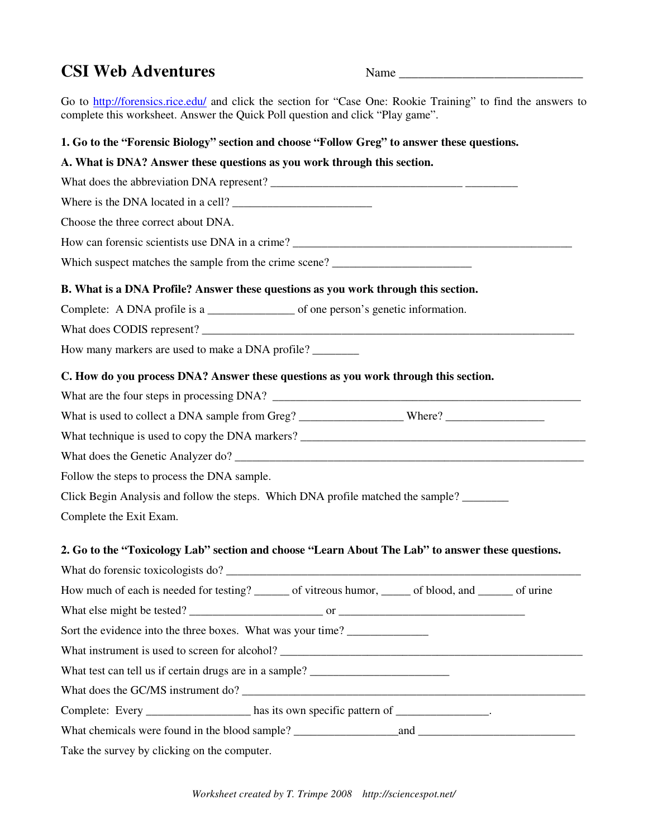## **CSI Web Adventures** Name

Go to http://forensics.rice.edu/ and click the section for "Case One: Rookie Training" to find the answers to complete this worksheet. Answer the Quick Poll question and click "Play game".

### **1. Go to the "Forensic Biology" section and choose "Follow Greg" to answer these questions.**

# **A. What is DNA? Answer these questions as you work through this section.**  What does the abbreviation DNA represent? Where is the DNA located in a cell? \_\_\_\_\_\_\_\_\_\_\_\_\_\_\_\_\_\_\_\_\_\_\_\_ Choose the three correct about DNA. How can forensic scientists use DNA in a crime? Which suspect matches the sample from the crime scene? **B. What is a DNA Profile? Answer these questions as you work through this section.**  Complete: A DNA profile is a \_\_\_\_\_\_\_\_\_\_\_\_\_\_\_ of one person's genetic information. What does CODIS represent? How many markers are used to make a DNA profile? \_\_\_\_\_\_\_\_\_ **C. How do you process DNA? Answer these questions as you work through this section.**  What are the four steps in processing DNA? What is used to collect a DNA sample from Greg? \_\_\_\_\_\_\_\_\_\_\_\_\_\_\_\_\_\_ Where? \_\_\_\_\_\_\_\_\_\_\_\_\_\_\_\_\_ What technique is used to copy the DNA markers? What does the Genetic Analyzer do? Follow the steps to process the DNA sample. Click Begin Analysis and follow the steps. Which DNA profile matched the sample? Complete the Exit Exam. **2. Go to the "Toxicology Lab" section and choose "Learn About The Lab" to answer these questions.**  What do forensic toxicologists do? How much of each is needed for testing? \_\_\_\_\_\_\_ of vitreous humor, \_\_\_\_\_\_ of blood, and \_\_\_\_\_\_ of urine What else might be tested? Sort the evidence into the three boxes. What was your time? What instrument is used to screen for alcohol? What test can tell us if certain drugs are in a sample? What does the GC/MS instrument do? Complete: Every \_\_\_\_\_\_\_\_\_\_\_\_\_\_\_\_\_\_\_ has its own specific pattern of \_\_\_\_\_\_\_\_\_\_\_\_ What chemicals were found in the blood sample? \_\_\_\_\_\_\_\_\_\_\_\_\_\_\_\_\_\_and \_\_\_\_\_\_\_\_\_\_\_\_\_\_\_\_\_\_\_\_\_\_\_\_\_\_\_ Take the survey by clicking on the computer.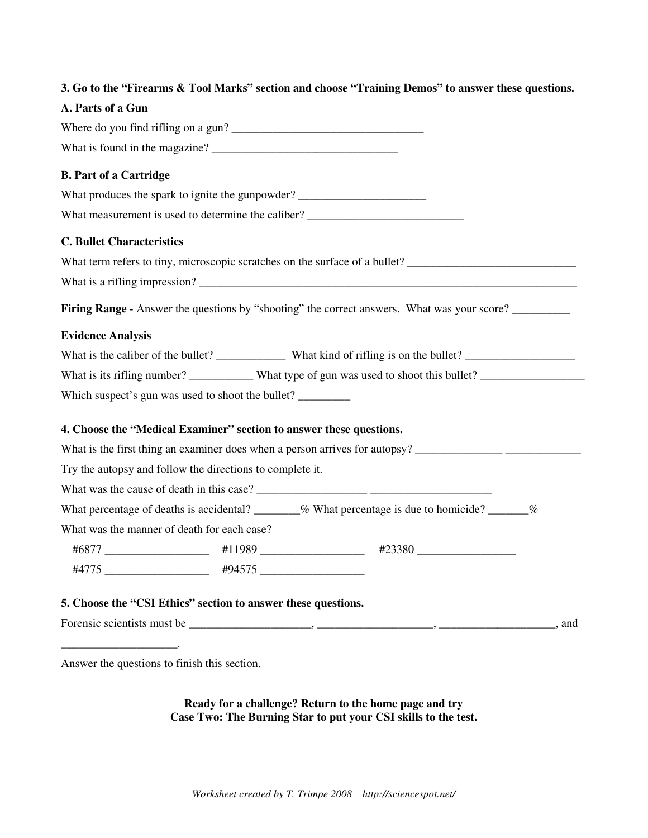### **3. Go to the "Firearms & Tool Marks" section and choose "Training Demos" to answer these questions.**

#### **A. Parts of a Gun**

|                                                               |                                                         | Where do you find rifling on a gun?                                                                            |                       |
|---------------------------------------------------------------|---------------------------------------------------------|----------------------------------------------------------------------------------------------------------------|-----------------------|
|                                                               |                                                         |                                                                                                                |                       |
| <b>B. Part of a Cartridge</b>                                 |                                                         |                                                                                                                |                       |
|                                                               |                                                         | What produces the spark to ignite the gunpowder? ________________________________                              |                       |
|                                                               |                                                         | What measurement is used to determine the caliber? ______________________________                              |                       |
| <b>C. Bullet Characteristics</b>                              |                                                         |                                                                                                                |                       |
|                                                               |                                                         | What term refers to tiny, microscopic scratches on the surface of a bullet?                                    |                       |
|                                                               |                                                         |                                                                                                                |                       |
|                                                               |                                                         | Firing Range - Answer the questions by "shooting" the correct answers. What was your score?                    |                       |
| <b>Evidence Analysis</b>                                      |                                                         |                                                                                                                |                       |
|                                                               |                                                         |                                                                                                                |                       |
|                                                               |                                                         | What is its rifling number? ___________ What type of gun was used to shoot this bullet? ______________________ |                       |
| Which suspect's gun was used to shoot the bullet?             |                                                         |                                                                                                                |                       |
|                                                               |                                                         | 4. Choose the "Medical Examiner" section to answer these questions.                                            |                       |
|                                                               |                                                         |                                                                                                                |                       |
| Try the autopsy and follow the directions to complete it.     |                                                         |                                                                                                                |                       |
|                                                               |                                                         |                                                                                                                |                       |
|                                                               |                                                         | What percentage of deaths is accidental? _______% What percentage is due to homicide? ______%                  |                       |
| What was the manner of death for each case?                   |                                                         |                                                                                                                |                       |
|                                                               |                                                         |                                                                                                                |                       |
|                                                               | #4775 ______________________ #94575 ___________________ |                                                                                                                |                       |
|                                                               |                                                         |                                                                                                                |                       |
| 5. Choose the "CSI Ethics" section to answer these questions. |                                                         |                                                                                                                |                       |
|                                                               |                                                         |                                                                                                                | <sub>____</sub> , and |

Answer the questions to finish this section.

\_\_\_\_\_\_\_\_\_\_\_\_\_\_\_\_\_\_\_\_.

**Ready for a challenge? Return to the home page and try Case Two: The Burning Star to put your CSI skills to the test.**